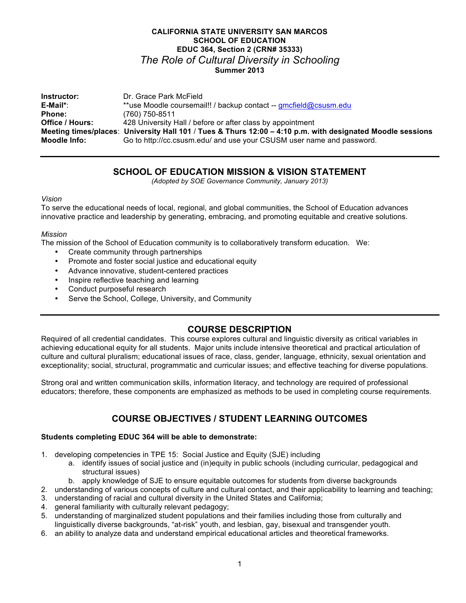## **CALIFORNIA STATE UNIVERSITY SAN MARCOS SCHOOL OF EDUCATION EDUC 364, Section 2 (CRN# 35333)** *The Role of Cultural Diversity in Schooling* **Summer 2013**

| Instructor:     | Dr. Grace Park McField                                                                                     |
|-----------------|------------------------------------------------------------------------------------------------------------|
| E-Mail*:        | **use Moodle coursemail!! / backup contact -- gmcfield@csusm.edu                                           |
| <b>Phone:</b>   | (760) 750-8511                                                                                             |
| Office / Hours: | 428 University Hall / before or after class by appointment                                                 |
|                 | Meeting times/places: University Hall 101 / Tues & Thurs 12:00 – 4:10 p.m. with designated Moodle sessions |
| Moodle Info:    | Go to http://cc.csusm.edu/ and use your CSUSM user name and password.                                      |

## **SCHOOL OF EDUCATION MISSION & VISION STATEMENT**

*(Adopted by SOE Governance Community, January 2013)*

#### *Vision*

To serve the educational needs of local, regional, and global communities, the School of Education advances innovative practice and leadership by generating, embracing, and promoting equitable and creative solutions.

#### *Mission*

The mission of the School of Education community is to collaboratively transform education. We:

- Create community through partnerships
- Promote and foster social justice and educational equity
- Advance innovative, student-centered practices
- Inspire reflective teaching and learning
- Conduct purposeful research
- Serve the School, College, University, and Community

## **COURSE DESCRIPTION**

Required of all credential candidates. This course explores cultural and linguistic diversity as critical variables in achieving educational equity for all students. Major units include intensive theoretical and practical articulation of culture and cultural pluralism; educational issues of race, class, gender, language, ethnicity, sexual orientation and exceptionality; social, structural, programmatic and curricular issues; and effective teaching for diverse populations.

Strong oral and written communication skills, information literacy, and technology are required of professional educators; therefore, these components are emphasized as methods to be used in completing course requirements.

# **COURSE OBJECTIVES / STUDENT LEARNING OUTCOMES**

#### **Students completing EDUC 364 will be able to demonstrate:**

- 1. developing competencies in TPE 15: Social Justice and Equity (SJE) including
	- a. identify issues of social justice and (in)equity in public schools (including curricular, pedagogical and structural issues)
	- b. apply knowledge of SJE to ensure equitable outcomes for students from diverse backgrounds
- 2. understanding of various concepts of culture and cultural contact, and their applicability to learning and teaching;
- 3. understanding of racial and cultural diversity in the United States and California;
- 4. general familiarity with culturally relevant pedagogy;
- 5. understanding of marginalized student populations and their families including those from culturally and linguistically diverse backgrounds, "at-risk" youth, and lesbian, gay, bisexual and transgender youth.
- 6. an ability to analyze data and understand empirical educational articles and theoretical frameworks.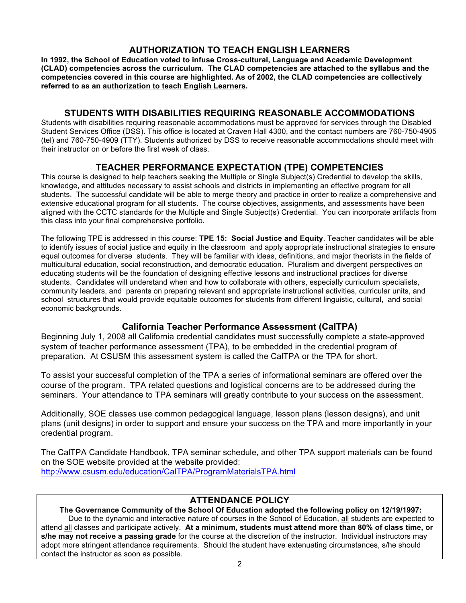# **AUTHORIZATION TO TEACH ENGLISH LEARNERS**

**In 1992, the School of Education voted to infuse Cross-cultural, Language and Academic Development (CLAD) competencies across the curriculum. The CLAD competencies are attached to the syllabus and the competencies covered in this course are highlighted. As of 2002, the CLAD competencies are collectively referred to as an authorization to teach English Learners.**

## **STUDENTS WITH DISABILITIES REQUIRING REASONABLE ACCOMMODATIONS**

Students with disabilities requiring reasonable accommodations must be approved for services through the Disabled Student Services Office (DSS). This office is located at Craven Hall 4300, and the contact numbers are 760-750-4905 (tel) and 760-750-4909 (TTY). Students authorized by DSS to receive reasonable accommodations should meet with their instructor on or before the first week of class.

## **TEACHER PERFORMANCE EXPECTATION (TPE) COMPETENCIES**

This course is designed to help teachers seeking the Multiple or Single Subject(s) Credential to develop the skills, knowledge, and attitudes necessary to assist schools and districts in implementing an effective program for all students. The successful candidate will be able to merge theory and practice in order to realize a comprehensive and extensive educational program for all students. The course objectives, assignments, and assessments have been aligned with the CCTC standards for the Multiple and Single Subject(s) Credential. You can incorporate artifacts from this class into your final comprehensive portfolio.

The following TPE is addressed in this course: **TPE 15: Social Justice and Equity**. Teacher candidates will be able to identify issues of social justice and equity in the classroom and apply appropriate instructional strategies to ensure equal outcomes for diverse students. They will be familiar with ideas, definitions, and major theorists in the fields of multicultural education, social reconstruction, and democratic education. Pluralism and divergent perspectives on educating students will be the foundation of designing effective lessons and instructional practices for diverse students. Candidates will understand when and how to collaborate with others, especially curriculum specialists, community leaders, and parents on preparing relevant and appropriate instructional activities, curricular units, and school structures that would provide equitable outcomes for students from different linguistic, cultural, and social economic backgrounds.

## **California Teacher Performance Assessment (CalTPA)**

Beginning July 1, 2008 all California credential candidates must successfully complete a state-approved system of teacher performance assessment (TPA), to be embedded in the credential program of preparation. At CSUSM this assessment system is called the CalTPA or the TPA for short.

To assist your successful completion of the TPA a series of informational seminars are offered over the course of the program. TPA related questions and logistical concerns are to be addressed during the seminars. Your attendance to TPA seminars will greatly contribute to your success on the assessment.

Additionally, SOE classes use common pedagogical language, lesson plans (lesson designs), and unit plans (unit designs) in order to support and ensure your success on the TPA and more importantly in your credential program.

The CalTPA Candidate Handbook, TPA seminar schedule, and other TPA support materials can be found on the SOE website provided at the website provided: http://www.csusm.edu/education/CalTPA/ProgramMaterialsTPA.html

# **ATTENDANCE POLICY**

**The Governance Community of the School Of Education adopted the following policy on 12/19/1997:** Due to the dynamic and interactive nature of courses in the School of Education, all students are expected to attend all classes and participate actively. **At a minimum, students must attend more than 80% of class time, or s/he may not receive a passing grade** for the course at the discretion of the instructor. Individual instructors may adopt more stringent attendance requirements. Should the student have extenuating circumstances, s/he should contact the instructor as soon as possible.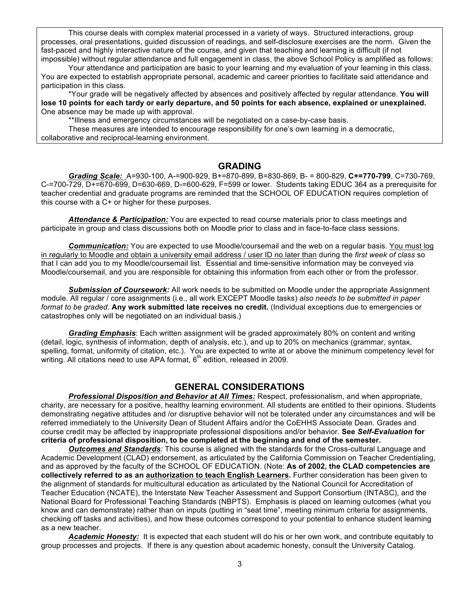This course deals with complex material processed in a variety of ways. Structured interactions, group processes, oral presentations, guided discussion of readings, and self-disclosure exercises are the norm. Given the fast-paced and highly interactive nature of the course, and given that teaching and learning is difficult (if not impossible) without regular attendance and full engagement in class, the above School Policy is amplified as follows:

Your attendance and participation are basic to your learning and my evaluation of your learning in this class. You are expected to establish appropriate personal, academic and career priorities to facilitate said attendance and participation in this class.

\*Your grade will be negatively affected by absences and positively affected by regular attendance. **You will lose 10 points for each tardy or early departure, and 50 points for each absence, explained or unexplained.** One absence may be made up with approval.

\*\*Illness and emergency circumstances will be negotiated on a case-by-case basis.

These measures are intended to encourage responsibility for one's own learning in a democratic, collaborative and reciprocal-learning environment.

### **GRADING**

*Grading Scale:* A=930-100, A-=900-929, B+=870-899, B=830-869, B- = 800-829, **C+=770-799**, C=730-769, C-=700-729, D+=670-699, D=630-669, D-=600-629, F=599 or lower. Students taking EDUC 364 as a prerequisite for teacher credential and graduate programs are reminded that the SCHOOL OF EDUCATION requires completion of this course with a C+ or higher for these purposes.

*Attendance & Participation:* You are expected to read course materials prior to class meetings and participate in group and class discussions both on Moodle prior to class and in face-to-face class sessions.

*Communication:* You are expected to use Moodle/coursemail and the web on a regular basis. You must log in regularly to Moodle and obtain a university email address / user ID no later than during the *first week of class* so that I can add you to my Moodle/coursemail list. Essential and time-sensitive information may be conveyed via Moodle/coursemail, and you are responsible for obtaining this information from each other or from the professor.

*Submission of Coursework:* All work needs to be submitted on Moodle under the appropriate Assignment module. All regular / core assignments (i.e., all work EXCEPT Moodle tasks) *also needs to be submitted in paper format to be graded*. **Any work submitted late receives no credit.** (Individual exceptions due to emergencies or catastrophes only will be negotiated on an individual basis.)

*Grading Emphasis*: Each written assignment will be graded approximately 80% on content and writing (detail, logic, synthesis of information, depth of analysis, etc.), and up to 20% on mechanics (grammar, syntax, spelling, format, uniformity of citation, etc.). You are expected to write at or above the minimum competency level for writing. All citations need to use APA format,  $6<sup>th</sup>$  edition, released in 2009.

## **GENERAL CONSIDERATIONS**

*Professional Disposition and Behavior at All Times:* Respect, professionalism, and when appropriate, charity, are necessary for a positive, healthy learning environment. All students are entitled to their opinions. Students demonstrating negative attitudes and /or disruptive behavior will not be tolerated under any circumstances and will be referred immediately to the University Dean of Student Affairs and/or the CoEHHS Associate Dean. Grades and course credit may be affected by inappropriate professional dispositions and/or behavior. **See** *Self-Evaluation* **for criteria of professional disposition, to be completed at the beginning and end of the semester.**

*Outcomes and Standards:* This course is aligned with the standards for the Cross-cultural Language and Academic Development (CLAD) endorsement, as articulated by the California Commission on Teacher Credentialing, and as approved by the faculty of the SCHOOL OF EDUCATION. (Note: **As of 2002, the CLAD competencies are collectively referred to as an authorization to teach English Learners.** Further consideration has been given to the alignment of standards for multicultural education as articulated by the National Council for Accreditation of Teacher Education (NCATE), the Interstate New Teacher Assessment and Support Consortium (INTASC), and the National Board for Professional Teaching Standards (NBPTS). Emphasis is placed on learning outcomes (what you know and can demonstrate) rather than on inputs (putting in "seat time", meeting minimum criteria for assignments, checking off tasks and activities), and how these outcomes correspond to your potential to enhance student learning as a new teacher.

*Academic Honesty:* It is expected that each student will do his or her own work, and contribute equitably to group processes and projects. If there is any question about academic honesty, consult the University Catalog.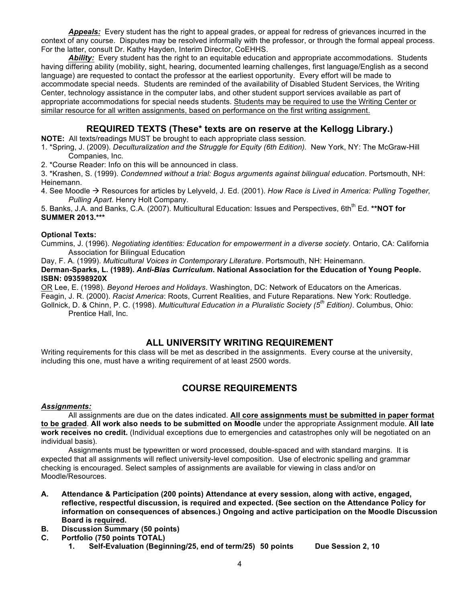*Appeals:* Every student has the right to appeal grades, or appeal for redress of grievances incurred in the context of any course. Disputes may be resolved informally with the professor, or through the formal appeal process. For the latter, consult Dr. Kathy Hayden, Interim Director, CoEHHS.

*Ability:* Every student has the right to an equitable education and appropriate accommodations. Students having differing ability (mobility, sight, hearing, documented learning challenges, first language/English as a second language) are requested to contact the professor at the earliest opportunity. Every effort will be made to accommodate special needs. Students are reminded of the availability of Disabled Student Services, the Writing Center, technology assistance in the computer labs, and other student support services available as part of appropriate accommodations for special needs students. Students may be required to use the Writing Center or similar resource for all written assignments, based on performance on the first writing assignment.

## **REQUIRED TEXTS (These\* texts are on reserve at the Kellogg Library.)**

**NOTE:** All texts/readings MUST be brought to each appropriate class session.

1. \*Spring, J. (2009). *Deculturalization and the Struggle for Equity (6th Edition).* New York, NY: The McGraw-Hill Companies, Inc.

2. \*Course Reader: Info on this will be announced in class.

3. \*Krashen, S. (1999). *Condemned without a trial: Bogus arguments against bilingual education*. Portsmouth, NH: Heinemann.

4. See Moodle à Resources for articles by Lelyveld, J. Ed. (2001). *How Race is Lived in America: Pulling Together, Pulling Apart*. Henry Holt Company.

5. Banks, J.A. and Banks, C.A. (2007). Multicultural Education: Issues and Perspectives, 6th<sup>th</sup> Ed. **\*\*NOT for SUMMER 2013.\*\*\***

### **Optional Texts:**

Cummins, J. (1996). *Negotiating identities: Education for empowerment in a diverse society*. Ontario, CA: California Association for Bilingual Education

Day, F. A. (1999). *Multicultural Voices in Contemporary Literature*. Portsmouth, NH: Heinemann.

**Derman-Sparks, L. (1989).** *Anti-Bias Curriculum.* **National Association for the Education of Young People. ISBN: 093598920X**

OR Lee, E. (1998). *Beyond Heroes and Holidays*. Washington, DC: Network of Educators on the Americas. Feagin, J. R. (2000). *Racist America*: Roots, Current Realities, and Future Reparations. New York: Routledge. Gollnick, D. & Chinn, P. C. (1998). *Multicultural Education in a Pluralistic Society (5th Edition)*. Columbus, Ohio: Prentice Hall, Inc.

## **ALL UNIVERSITY WRITING REQUIREMENT**

Writing requirements for this class will be met as described in the assignments. Every course at the university, including this one, must have a writing requirement of at least 2500 words.

## **COURSE REQUIREMENTS**

### *Assignments:*

All assignments are due on the dates indicated. **All core assignments must be submitted in paper format to be graded**. **All work also needs to be submitted on Moodle** under the appropriate Assignment module. **All late work receives no credit.** (Individual exceptions due to emergencies and catastrophes only will be negotiated on an individual basis).

Assignments must be typewritten or word processed, double-spaced and with standard margins. It is expected that all assignments will reflect university-level composition. Use of electronic spelling and grammar checking is encouraged. Select samples of assignments are available for viewing in class and/or on Moodle/Resources.

- **A. Attendance & Participation (200 points) Attendance at every session, along with active, engaged, reflective, respectful discussion, is required and expected. (See section on the Attendance Policy for information on consequences of absences.) Ongoing and active participation on the Moodle Discussion Board is required.**
- **B. Discussion Summary (50 points)**
- **C. Portfolio (750 points TOTAL)**
	- **1. Self-Evaluation (Beginning/25, end of term/25) 50 points Due Session 2, 10**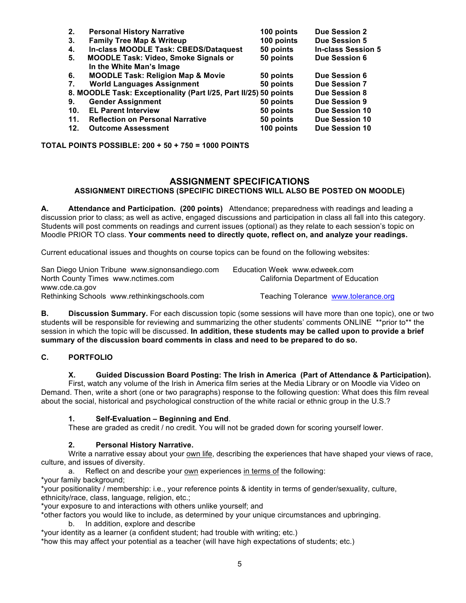| 2.  | <b>Personal History Narrative</b>                                | 100 points | <b>Due Session 2</b>      |
|-----|------------------------------------------------------------------|------------|---------------------------|
| 3.  | <b>Family Tree Map &amp; Writeup</b>                             | 100 points | <b>Due Session 5</b>      |
| 4.  | In-class MOODLE Task: CBEDS/Dataquest                            | 50 points  | <b>In-class Session 5</b> |
| 5.  | <b>MOODLE Task: Video, Smoke Signals or</b>                      | 50 points  | Due Session 6             |
|     | In the White Man's Image                                         |            |                           |
| 6.  | <b>MOODLE Task: Religion Map &amp; Movie</b>                     | 50 points  | Due Session 6             |
| 7.  | <b>World Languages Assignment</b>                                | 50 points  | <b>Due Session 7</b>      |
|     | 8. MOODLE Task: Exceptionality (Part I/25, Part II/25) 50 points |            | <b>Due Session 8</b>      |
| 9.  | <b>Gender Assignment</b>                                         | 50 points  | Due Session 9             |
| 10. | <b>EL Parent Interview</b>                                       | 50 points  | <b>Due Session 10</b>     |
| 11. | <b>Reflection on Personal Narrative</b>                          | 50 points  | <b>Due Session 10</b>     |
| 12. | <b>Outcome Assessment</b>                                        | 100 points | Due Session 10            |

**TOTAL POINTS POSSIBLE: 200 + 50 + 750 = 1000 POINTS**

### **ASSIGNMENT SPECIFICATIONS**

### **ASSIGNMENT DIRECTIONS (SPECIFIC DIRECTIONS WILL ALSO BE POSTED ON MOODLE)**

**A. Attendance and Participation. (200 points)** Attendance; preparedness with readings and leading a discussion prior to class; as well as active, engaged discussions and participation in class all fall into this category. Students will post comments on readings and current issues (optional) as they relate to each session's topic on Moodle PRIOR TO class. **Your comments need to directly quote, reflect on, and analyze your readings.**

Current educational issues and thoughts on course topics can be found on the following websites:

| San Diego Union Tribune www.signonsandiego.com | Education Week www.edweek.com        |
|------------------------------------------------|--------------------------------------|
| North County Times www.nctimes.com             | California Department of Education   |
| www.cde.ca.gov                                 |                                      |
| Rethinking Schools www.rethinkingschools.com   | Teaching Tolerance www.tolerance.org |

**B. Discussion Summary.** For each discussion topic (some sessions will have more than one topic), one or two students will be responsible for reviewing and summarizing the other students' comments ONLINE \*\*prior to\*\* the session in which the topic will be discussed. **In addition, these students may be called upon to provide a brief summary of the discussion board comments in class and need to be prepared to do so.** 

### **C. PORTFOLIO**

#### **X. Guided Discussion Board Posting: The Irish in America (Part of Attendance & Participation).**

First, watch any volume of the Irish in America film series at the Media Library or on Moodle via Video on Demand. Then, write a short (one or two paragraphs) response to the following question: What does this film reveal about the social, historical and psychological construction of the white racial or ethnic group in the U.S.?

#### **1. Self-Evaluation – Beginning and End**.

These are graded as credit / no credit. You will not be graded down for scoring yourself lower.

#### **2. Personal History Narrative.**

Write a narrative essay about your own life, describing the experiences that have shaped your views of race, culture, and issues of diversity.

a. Reflect on and describe your own experiences in terms of the following:

\*your family background;

\*your positionality / membership: i.e., your reference points & identity in terms of gender/sexuality, culture, ethnicity/race, class, language, religion, etc.;

\*your exposure to and interactions with others unlike yourself; and

\*other factors you would like to include, as determined by your unique circumstances and upbringing.

b. In addition, explore and describe

\*your identity as a learner (a confident student; had trouble with writing; etc.)

\*how this may affect your potential as a teacher (will have high expectations of students; etc.)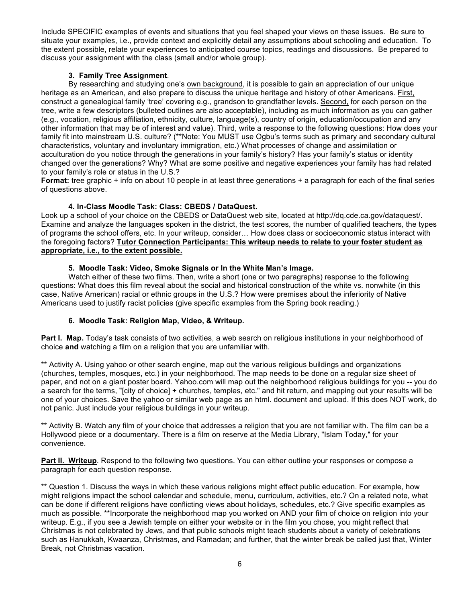Include SPECIFIC examples of events and situations that you feel shaped your views on these issues. Be sure to situate your examples, i.e., provide context and explicitly detail any assumptions about schooling and education. To the extent possible, relate your experiences to anticipated course topics, readings and discussions. Be prepared to discuss your assignment with the class (small and/or whole group).

### **3. Family Tree Assignment**.

By researching and studying one's own background, it is possible to gain an appreciation of our unique heritage as an American, and also prepare to discuss the unique heritage and history of other Americans. First, construct a genealogical family 'tree' covering e.g., grandson to grandfather levels. Second, for each person on the tree, write a few descriptors (bulleted outlines are also acceptable), including as much information as you can gather (e.g., vocation, religious affiliation, ethnicity, culture, language(s), country of origin, education/occupation and any other information that may be of interest and value). Third, write a response to the following questions: How does your family fit into mainstream U.S. culture? (\*\*Note: You MUST use Ogbu's terms such as primary and secondary cultural characteristics, voluntary and involuntary immigration, etc.) What processes of change and assimilation or acculturation do you notice through the generations in your family's history? Has your family's status or identity changed over the generations? Why? What are some positive and negative experiences your family has had related to your family's role or status in the U.S.?

**Format:** tree graphic + info on about 10 people in at least three generations + a paragraph for each of the final series of questions above.

### **4. In-Class Moodle Task: Class: CBEDS / DataQuest.**

Look up a school of your choice on the CBEDS or DataQuest web site, located at http://dq.cde.ca.gov/dataquest/. Examine and analyze the languages spoken in the district, the test scores, the number of qualified teachers, the types of programs the school offers, etc. In your writeup, consider… How does class or socioeconomic status interact with the foregoing factors? **Tutor Connection Participants: This writeup needs to relate to your foster student as appropriate, i.e., to the extent possible.** 

### **5. Moodle Task: Video, Smoke Signals or In the White Man's Image.**

Watch either of these two films. Then, write a short (one or two paragraphs) response to the following questions: What does this film reveal about the social and historical construction of the white vs. nonwhite (in this case, Native American) racial or ethnic groups in the U.S.? How were premises about the inferiority of Native Americans used to justify racist policies (give specific examples from the Spring book reading.)

### **6. Moodle Task: Religion Map, Video, & Writeup.**

**Part I. Map.** Today's task consists of two activities, a web search on religious institutions in your neighborhood of choice **and** watching a film on a religion that you are unfamiliar with.

\*\* Activity A. Using yahoo or other search engine, map out the various religious buildings and organizations (churches, temples, mosques, etc.) in your neighborhood. The map needs to be done on a regular size sheet of paper, and not on a giant poster board. Yahoo.com will map out the neighborhood religious buildings for you -- you do a search for the terms, "[city of choice] + churches, temples, etc." and hit return, and mapping out your results will be one of your choices. Save the yahoo or similar web page as an html. document and upload. If this does NOT work, do not panic. Just include your religious buildings in your writeup.

\*\* Activity B. Watch any film of your choice that addresses a religion that you are not familiar with. The film can be a Hollywood piece or a documentary. There is a film on reserve at the Media Library, "Islam Today," for your convenience.

Part II. Writeup. Respond to the following two questions. You can either outline your responses or compose a paragraph for each question response.

\*\* Question 1. Discuss the ways in which these various religions might effect public education. For example, how might religions impact the school calendar and schedule, menu, curriculum, activities, etc.? On a related note, what can be done if different religions have conflicting views about holidays, schedules, etc.? Give specific examples as much as possible. \*\*Incorporate the neighborhood map you worked on AND your film of choice on religion into your writeup. E.g., if you see a Jewish temple on either your website or in the film you chose, you might reflect that Christmas is not celebrated by Jews, and that public schools might teach students about a variety of celebrations such as Hanukkah, Kwaanza, Christmas, and Ramadan; and further, that the winter break be called just that, Winter Break, not Christmas vacation.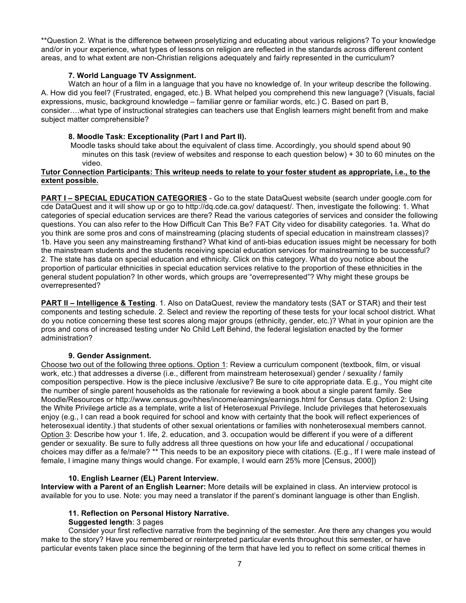\*\*Question 2. What is the difference between proselytizing and educating about various religions? To your knowledge and/or in your experience, what types of lessons on religion are reflected in the standards across different content areas, and to what extent are non-Christian religions adequately and fairly represented in the curriculum?

#### **7. World Language TV Assignment.**

Watch an hour of a film in a language that you have no knowledge of. In your writeup describe the following. A. How did you feel? (Frustrated, engaged, etc.) B. What helped you comprehend this new language? (Visuals, facial expressions, music, background knowledge – familiar genre or familiar words, etc.) C. Based on part B, consider….what type of instructional strategies can teachers use that English learners might benefit from and make subject matter comprehensible?

#### **8. Moodle Task: Exceptionality (Part I and Part II).**

Moodle tasks should take about the equivalent of class time. Accordingly, you should spend about 90 minutes on this task (review of websites and response to each question below) + 30 to 60 minutes on the video.

#### **Tutor Connection Participants: This writeup needs to relate to your foster student as appropriate, i.e., to the extent possible.**

**PART I – SPECIAL EDUCATION CATEGORIES** - Go to the state DataQuest website (search under google.com for cde DataQuest and it will show up or go to http://dq.cde.ca.gov/ dataquest/. Then, investigate the following: 1. What categories of special education services are there? Read the various categories of services and consider the following questions. You can also refer to the How Difficult Can This Be? FAT City video for disability categories. 1a. What do you think are some pros and cons of mainstreaming (placing students of special education in mainstream classes)? 1b. Have you seen any mainstreaming firsthand? What kind of anti-bias education issues might be necessary for both the mainstream students and the students receiving special education services for mainstreaming to be successful? 2. The state has data on special education and ethnicity. Click on this category. What do you notice about the proportion of particular ethnicities in special education services relative to the proportion of these ethnicities in the general student population? In other words, which groups are "overrepresented"? Why might these groups be overrepresented?

**PART II – Intelligence & Testing**. 1. Also on DataQuest, review the mandatory tests (SAT or STAR) and their test components and testing schedule. 2. Select and review the reporting of these tests for your local school district. What do you notice concerning these test scores along major groups (ethnicity, gender, etc.)? What in your opinion are the pros and cons of increased testing under No Child Left Behind, the federal legislation enacted by the former administration?

### **9. Gender Assignment.**

Choose two out of the following three options. Option 1: Review a curriculum component (textbook, film, or visual work, etc.) that addresses a diverse (i.e., different from mainstream heterosexual) gender / sexuality / family composition perspective. How is the piece inclusive /exclusive? Be sure to cite appropriate data. E.g., You might cite the number of single parent households as the rationale for reviewing a book about a single parent family. See Moodle/Resources or http://www.census.gov/hhes/income/earnings/earnings.html for Census data. Option 2: Using the White Privilege article as a template, write a list of Heterosexual Privilege. Include privileges that heterosexuals enjoy (e.g., I can read a book required for school and know with certainty that the book will reflect experiences of heterosexual identity.) that students of other sexual orientations or families with nonheterosexual members cannot. Option 3: Describe how your 1. life, 2. education, and 3. occupation would be different if you were of a different gender or sexuality. Be sure to fully address all three questions on how your life and educational / occupational choices may differ as a fe/male? \*\* This needs to be an expository piece with citations. (E.g., If I were male instead of female, I imagine many things would change. For example, I would earn 25% more [Census, 2000])

#### **10. English Learner (EL) Parent Interview.**

**Interview with a Parent of an English Learner:** More details will be explained in class. An interview protocol is available for you to use. Note: you may need a translator if the parent's dominant language is other than English.

#### **11. Reflection on Personal History Narrative.**

#### **Suggested length**: 3 pages

Consider your first reflective narrative from the beginning of the semester. Are there any changes you would make to the story? Have you remembered or reinterpreted particular events throughout this semester, or have particular events taken place since the beginning of the term that have led you to reflect on some critical themes in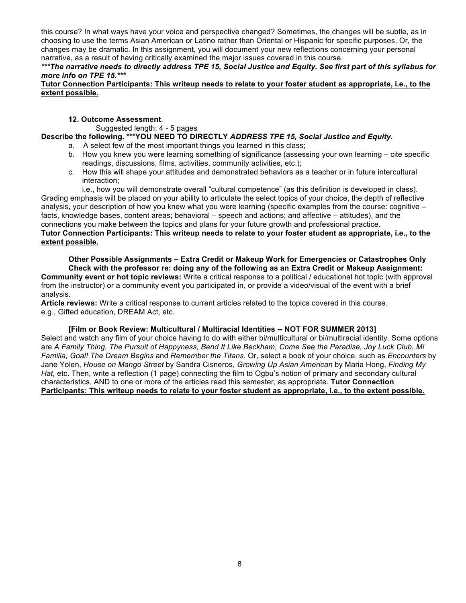this course? In what ways have your voice and perspective changed? Sometimes, the changes will be subtle, as in choosing to use the terms Asian American or Latino rather than Oriental or Hispanic for specific purposes. Or, the changes may be dramatic. In this assignment, you will document your new reflections concerning your personal narrative, as a result of having critically examined the major issues covered in this course.

#### *\*\*\*The narrative needs to directly address TPE 15, Social Justice and Equity. See first part of this syllabus for more info on TPE 15.\*\*\**

#### **Tutor Connection Participants: This writeup needs to relate to your foster student as appropriate, i.e., to the extent possible.**

#### **12. Outcome Assessment**.

Suggested length: 4 - 5 pages

### **Describe the following. \*\*\*YOU NEED TO DIRECTLY** *ADDRESS TPE 15, Social Justice and Equity.*

- a. A select few of the most important things you learned in this class;
	- b. How you knew you were learning something of significance (assessing your own learning cite specific readings, discussions, films, activities, community activities, etc.);
	- c. How this will shape your attitudes and demonstrated behaviors as a teacher or in future intercultural interaction;

i.e., how you will demonstrate overall "cultural competence" (as this definition is developed in class). Grading emphasis will be placed on your ability to articulate the select topics of your choice, the depth of reflective analysis, your description of how you knew what you were learning (specific examples from the course: cognitive – facts, knowledge bases, content areas; behavioral – speech and actions; and affective – attitudes), and the connections you make between the topics and plans for your future growth and professional practice.

### **Tutor Connection Participants: This writeup needs to relate to your foster student as appropriate, i.e., to the extent possible.**

**Other Possible Assignments – Extra Credit or Makeup Work for Emergencies or Catastrophes Only Check with the professor re: doing any of the following as an Extra Credit or Makeup Assignment:**

**Community event or hot topic reviews:** Write a critical response to a political / educational hot topic (with approval from the instructor) or a community event you participated in, or provide a video/visual of the event with a brief analysis.

**Article reviews:** Write a critical response to current articles related to the topics covered in this course. e.g., Gifted education, DREAM Act, etc.

### **[Film or Book Review: Multicultural / Multiracial Identities -- NOT FOR SUMMER 2013]**

Select and watch any film of your choice having to do with either bi/multicultural or bi/multiracial identity. Some options are *A Family Thing, The Pursuit of Happyness, Bend It Like Beckham, Come See the Paradise, Joy Luck Club, Mi Familia, Goal! The Dream Begins* and *Remember the Titans*. Or, select a book of your choice, such as *Encounters* by Jane Yolen, *House on Mango Street* by Sandra Cisneros, *Growing Up Asian American* by Maria Hong, *Finding My Hat,* etc. Then, write a reflection (1 page) connecting the film to Ogbu's notion of primary and secondary cultural characteristics, AND to one or more of the articles read this semester, as appropriate. **Tutor Connection Participants: This writeup needs to relate to your foster student as appropriate, i.e., to the extent possible.**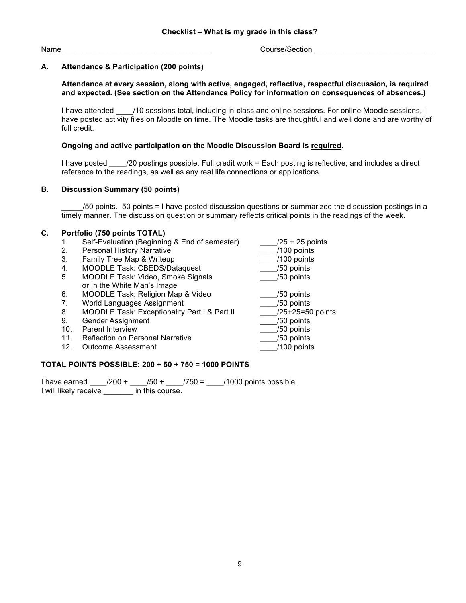Name **Name Name Name name name name name name** *n n n n n n n n n n n n n n n n n n n n n n n n n n n* 

### **A. Attendance & Participation (200 points)**

#### **Attendance at every session, along with active, engaged, reflective, respectful discussion, is required and expected. (See section on the Attendance Policy for information on consequences of absences.)**

I have attended  $\frac{10}{2}$  (10 sessions total, including in-class and online sessions. For online Moodle sessions, I have posted activity files on Moodle on time. The Moodle tasks are thoughtful and well done and are worthy of full credit.

#### **Ongoing and active participation on the Moodle Discussion Board is required.**

I have posted \_\_\_\_/20 postings possible. Full credit work = Each posting is reflective, and includes a direct reference to the readings, as well as any real life connections or applications.

#### **B. Discussion Summary (50 points)**

\_\_\_\_\_/50 points. 50 points = I have posted discussion questions or summarized the discussion postings in a timely manner. The discussion question or summary reflects critical points in the readings of the week.

#### **C. Portfolio (750 points TOTAL)**

- 1. Self-Evaluation (Beginning & End of semester)  $\frac{1}{25}$  + 25 points<br>2. Personal History Narrative (100 points
- 
- 2. Personal History Narrative **2. Exercise 12.** Personal History Narrative **2. According 2.** Pamily Tree Map & Writeup 3. Family Tree Map & Writeup
- 4. MOODLE Task: CBEDS/Dataquest \_\_\_\_/50 points
- 5. MOODLE Task: Video, Smoke Signals or In the White Man's Image
- 6. MOODLE Task: Religion Map & Video \_\_\_\_\_\_\_\_\_\_\_\_\_\_/50 points
- 7. World Languages Assignment 6. 2012 12:30 points
- 
- 9. Gender Assignment
- 
- 10. Parent Interview \_\_\_\_/50 points 11. Reflection on Personal Narrative
- 12. Outcome Assessment **12.** Outcome Assessment

8. MOODLE Task: Exceptionality Part I & Part II \_\_\_\_/25+25=50 points

#### **TOTAL POINTS POSSIBLE: 200 + 50 + 750 = 1000 POINTS**

I have earned \_\_\_\_/200 + \_\_\_\_/50 + \_\_\_\_/750 = \_\_\_\_/1000 points possible. I will likely receive \_\_\_\_\_\_\_ in this course.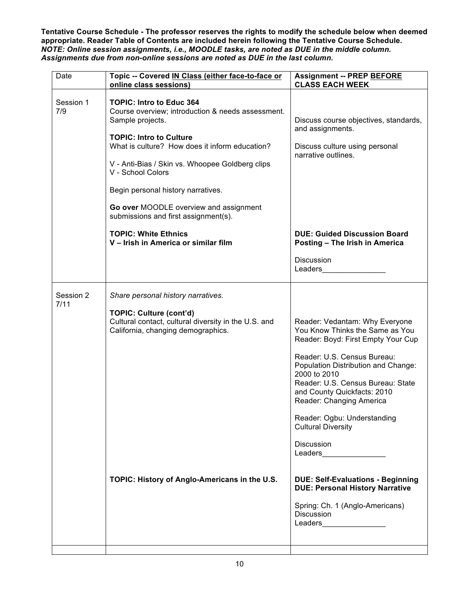**Tentative Course Schedule - The professor reserves the rights to modify the schedule below when deemed appropriate. Reader Table of Contents are included herein following the Tentative Course Schedule.**  *NOTE: Online session assignments, i.e., MOODLE tasks, are noted as DUE in the middle column. Assignments due from non-online sessions are noted as DUE in the last column.*

| Date              | Topic -- Covered IN Class (either face-to-face or<br>online class sessions)                                                  | <b>Assignment -- PREP BEFORE</b><br><b>CLASS EACH WEEK</b>                                                                                                                                                                                           |
|-------------------|------------------------------------------------------------------------------------------------------------------------------|------------------------------------------------------------------------------------------------------------------------------------------------------------------------------------------------------------------------------------------------------|
| Session 1<br>7/9  | <b>TOPIC: Intro to Educ 364</b><br>Course overview; introduction & needs assessment.<br>Sample projects.                     | Discuss course objectives, standards,<br>and assignments.                                                                                                                                                                                            |
|                   | <b>TOPIC: Intro to Culture</b><br>What is culture? How does it inform education?                                             | Discuss culture using personal<br>narrative outlines.                                                                                                                                                                                                |
|                   | V - Anti-Bias / Skin vs. Whoopee Goldberg clips<br>V - School Colors                                                         |                                                                                                                                                                                                                                                      |
|                   | Begin personal history narratives.                                                                                           |                                                                                                                                                                                                                                                      |
|                   | Go over MOODLE overview and assignment<br>submissions and first assignment(s).                                               |                                                                                                                                                                                                                                                      |
|                   | <b>TOPIC: White Ethnics</b><br>V - Irish in America or similar film                                                          | <b>DUE: Guided Discussion Board</b><br>Posting - The Irish in America                                                                                                                                                                                |
|                   |                                                                                                                              | <b>Discussion</b><br>Leaders and the state of the state of the state of the state of the state of the state of the state of the state of the state of the state of the state of the state of the state of the state of the state of the state of the |
| Session 2<br>7/11 | Share personal history narratives.                                                                                           |                                                                                                                                                                                                                                                      |
|                   | <b>TOPIC: Culture (cont'd)</b><br>Cultural contact, cultural diversity in the U.S. and<br>California, changing demographics. | Reader: Vedantam: Why Everyone<br>You Know Thinks the Same as You<br>Reader: Boyd: First Empty Your Cup                                                                                                                                              |
|                   |                                                                                                                              | Reader: U.S. Census Bureau:<br>Population Distribution and Change:<br>2000 to 2010<br>Reader: U.S. Census Bureau: State<br>and County Quickfacts: 2010<br>Reader: Changing America                                                                   |
|                   |                                                                                                                              | Reader: Ogbu: Understanding<br><b>Cultural Diversity</b>                                                                                                                                                                                             |
|                   |                                                                                                                              | <b>Discussion</b><br>Leaders__________________                                                                                                                                                                                                       |
|                   | TOPIC: History of Anglo-Americans in the U.S.                                                                                | <b>DUE: Self-Evaluations - Beginning</b><br><b>DUE: Personal History Narrative</b>                                                                                                                                                                   |
|                   |                                                                                                                              | Spring: Ch. 1 (Anglo-Americans)<br><b>Discussion</b><br>Leaders___________________                                                                                                                                                                   |
|                   |                                                                                                                              |                                                                                                                                                                                                                                                      |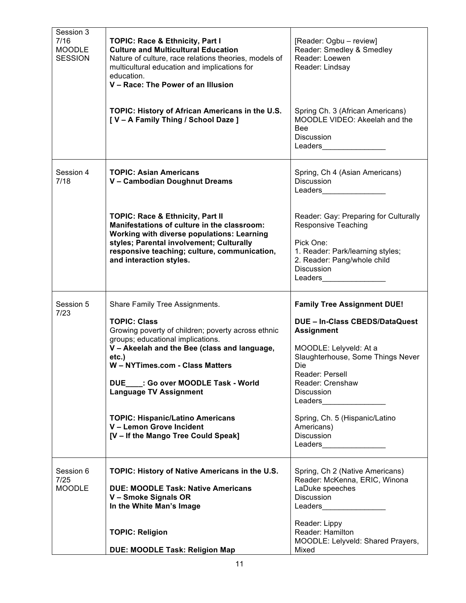| Session 3<br>7/16<br><b>MOODLE</b><br><b>SESSION</b> | <b>TOPIC: Race &amp; Ethnicity, Part I</b><br><b>Culture and Multicultural Education</b><br>Nature of culture, race relations theories, models of<br>multicultural education and implications for<br>education.<br>V - Race: The Power of an Illusion                                                                                                                                                                                  | [Reader: Ogbu - review]<br>Reader: Smedley & Smedley<br>Reader: Loewen<br>Reader: Lindsay                                                                                                                                                                                                                                                                                                                                                                                                                                                                                                                                                                                                                                                               |
|------------------------------------------------------|----------------------------------------------------------------------------------------------------------------------------------------------------------------------------------------------------------------------------------------------------------------------------------------------------------------------------------------------------------------------------------------------------------------------------------------|---------------------------------------------------------------------------------------------------------------------------------------------------------------------------------------------------------------------------------------------------------------------------------------------------------------------------------------------------------------------------------------------------------------------------------------------------------------------------------------------------------------------------------------------------------------------------------------------------------------------------------------------------------------------------------------------------------------------------------------------------------|
|                                                      | TOPIC: History of African Americans in the U.S.<br>[V - A Family Thing / School Daze ]                                                                                                                                                                                                                                                                                                                                                 | Spring Ch. 3 (African Americans)<br>MOODLE VIDEO: Akeelah and the<br><b>Bee</b><br><b>Discussion</b>                                                                                                                                                                                                                                                                                                                                                                                                                                                                                                                                                                                                                                                    |
| Session 4<br>7/18                                    | <b>TOPIC: Asian Americans</b><br>V - Cambodian Doughnut Dreams                                                                                                                                                                                                                                                                                                                                                                         | Spring, Ch 4 (Asian Americans)<br><b>Discussion</b><br>Leaders and the state of the state of the state of the state of the state of the state of the state of the state of the state of the state of the state of the state of the state of the state of the state of the state of the                                                                                                                                                                                                                                                                                                                                                                                                                                                                  |
|                                                      | TOPIC: Race & Ethnicity, Part II<br>Manifestations of culture in the classroom:<br><b>Working with diverse populations: Learning</b><br>styles; Parental involvement; Culturally<br>responsive teaching; culture, communication,<br>and interaction styles.                                                                                                                                                                            | Reader: Gay: Preparing for Culturally<br><b>Responsive Teaching</b><br>Pick One:<br>1. Reader: Park/learning styles;<br>2. Reader: Pang/whole child<br>Discussion<br>Leaders and the state of the state of the state of the state of the state of the state of the state of the state of the state of the state of the state of the state of the state of the state of the state of the state of the                                                                                                                                                                                                                                                                                                                                                    |
|                                                      |                                                                                                                                                                                                                                                                                                                                                                                                                                        |                                                                                                                                                                                                                                                                                                                                                                                                                                                                                                                                                                                                                                                                                                                                                         |
| Session 5<br>7/23                                    | Share Family Tree Assignments.<br><b>TOPIC: Class</b><br>Growing poverty of children; poverty across ethnic<br>groups; educational implications.<br>V - Akeelah and the Bee (class and language,<br>$etc.$ )<br>W - NYTimes.com - Class Matters<br>DUE____: Go over MOODLE Task - World<br><b>Language TV Assignment</b><br><b>TOPIC: Hispanic/Latino Americans</b><br>V - Lemon Grove Incident<br>[V - If the Mango Tree Could Speak] | <b>Family Tree Assignment DUE!</b><br>DUE - In-Class CBEDS/DataQuest<br><b>Assignment</b><br>MOODLE: Lelyveld: At a<br>Slaughterhouse, Some Things Never<br>Die<br>Reader: Persell<br>Reader: Crenshaw<br>Discussion<br>Leaders and the state of the state of the state of the state of the state of the state of the state of the state of the state of the state of the state of the state of the state of the state of the state of the state of the<br>Spring, Ch. 5 (Hispanic/Latino<br>Americans)<br>Discussion<br>Leaders and the state of the state of the state of the state of the state of the state of the state of the state of the state of the state of the state of the state of the state of the state of the state of the state of th |
| Session 6<br>7/25<br><b>MOODLE</b>                   | TOPIC: History of Native Americans in the U.S.<br><b>DUE: MOODLE Task: Native Americans</b><br>V - Smoke Signals OR<br>In the White Man's Image                                                                                                                                                                                                                                                                                        | Spring, Ch 2 (Native Americans)<br>Reader: McKenna, ERIC, Winona<br>LaDuke speeches<br>Discussion<br>Leaders and the state of the state of the state of the state of the state of the state of the state of the state of the state of the state of the state of the state of the state of the state of the state of the state of the                                                                                                                                                                                                                                                                                                                                                                                                                    |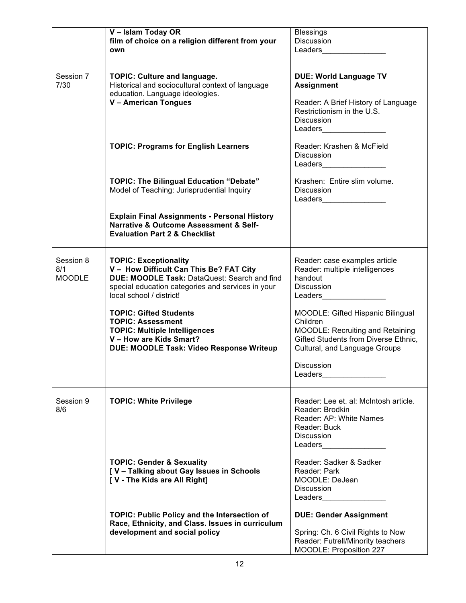|                                   | V - Islam Today OR<br>film of choice on a religion different from your<br>own                                                                                                                            | <b>Blessings</b><br>Discussion<br>Leaders _____________                                                                                                                                                                                                                                                                                                                         |
|-----------------------------------|----------------------------------------------------------------------------------------------------------------------------------------------------------------------------------------------------------|---------------------------------------------------------------------------------------------------------------------------------------------------------------------------------------------------------------------------------------------------------------------------------------------------------------------------------------------------------------------------------|
| Session 7<br>7/30                 | <b>TOPIC: Culture and language.</b><br>Historical and sociocultural context of language<br>education. Language ideologies.<br>V - American Tongues                                                       | <b>DUE: World Language TV</b><br><b>Assignment</b><br>Reader: A Brief History of Language<br>Restrictionism in the U.S.<br><b>Discussion</b><br>Leaders and the state of the state of the state of the state of the state of the state of the state of the state of the state of the state of the state of the state of the state of the state of the state of the state of the |
|                                   | <b>TOPIC: Programs for English Learners</b>                                                                                                                                                              | Reader: Krashen & McField<br><b>Discussion</b><br>Leaders_________________                                                                                                                                                                                                                                                                                                      |
|                                   | <b>TOPIC: The Bilingual Education "Debate"</b><br>Model of Teaching: Jurisprudential Inquiry                                                                                                             | Krashen: Entire slim volume.<br><b>Discussion</b><br>Leaders_________________                                                                                                                                                                                                                                                                                                   |
|                                   | <b>Explain Final Assignments - Personal History</b><br>Narrative & Outcome Assessment & Self-<br><b>Evaluation Part 2 &amp; Checklist</b>                                                                |                                                                                                                                                                                                                                                                                                                                                                                 |
| Session 8<br>8/1<br><b>MOODLE</b> | <b>TOPIC: Exceptionality</b><br>V - How Difficult Can This Be? FAT City<br>DUE: MOODLE Task: DataQuest: Search and find<br>special education categories and services in your<br>local school / district! | Reader: case examples article<br>Reader: multiple intelligences<br>handout<br><b>Discussion</b><br>Leaders and the state of the state of the state of the state of the state of the state of the state of the state of the state of the state of the state of the state of the state of the state of the state of the state of th                                               |
|                                   | <b>TOPIC: Gifted Students</b><br><b>TOPIC: Assessment</b><br><b>TOPIC: Multiple Intelligences</b><br>V - How are Kids Smart?<br>DUE: MOODLE Task: Video Response Writeup                                 | MOODLE: Gifted Hispanic Bilingual<br>Children<br>MOODLE: Recruiting and Retaining<br>Gifted Students from Diverse Ethnic,<br>Cultural, and Language Groups                                                                                                                                                                                                                      |
|                                   |                                                                                                                                                                                                          | <b>Discussion</b>                                                                                                                                                                                                                                                                                                                                                               |
| Session 9<br>8/6                  | <b>TOPIC: White Privilege</b>                                                                                                                                                                            | Reader: Lee et. al: McIntosh article.<br>Reader: Brodkin<br>Reader: AP: White Names<br>Reader: Buck<br>Discussion<br>Leaders________________                                                                                                                                                                                                                                    |
|                                   | <b>TOPIC: Gender &amp; Sexuality</b><br>[V - Talking about Gay Issues in Schools<br>[V - The Kids are All Right]                                                                                         | Reader: Sadker & Sadker<br>Reader: Park<br>MOODLE: DeJean<br>Discussion<br>Leaders_________________                                                                                                                                                                                                                                                                             |
|                                   | <b>TOPIC: Public Policy and the Intersection of</b><br>Race, Ethnicity, and Class. Issues in curriculum<br>development and social policy                                                                 | <b>DUE: Gender Assignment</b><br>Spring: Ch. 6 Civil Rights to Now<br>Reader: Futrell/Minority teachers<br>MOODLE: Proposition 227                                                                                                                                                                                                                                              |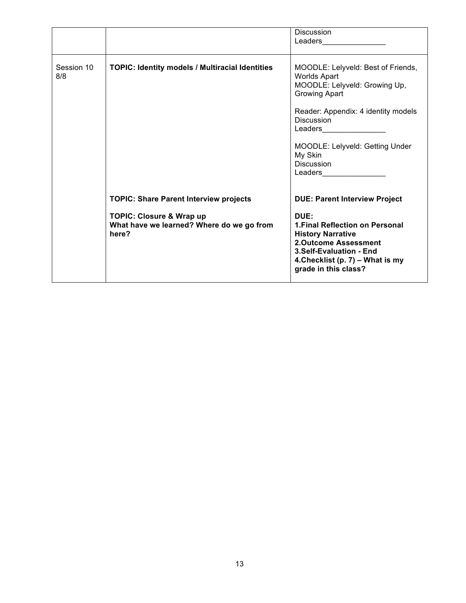|                   |                                                                                                                                            | <b>Discussion</b><br>Leaders and the state of the state of the state of the state of the state of the state of the state of the state of the state of the state of the state of the state of the state of the state of the state of the state of the                                      |
|-------------------|--------------------------------------------------------------------------------------------------------------------------------------------|-------------------------------------------------------------------------------------------------------------------------------------------------------------------------------------------------------------------------------------------------------------------------------------------|
| Session 10<br>8/8 | <b>TOPIC: Identity models / Multiracial Identities</b>                                                                                     | MOODLE: Lelyveld: Best of Friends,<br><b>Worlds Apart</b><br>MOODLE: Lelyveld: Growing Up,<br><b>Growing Apart</b><br>Reader: Appendix: 4 identity models<br><b>Discussion</b><br>Leaders__________________<br>MOODLE: Lelyveld: Getting Under<br>My Skin<br><b>Discussion</b><br>Leaders |
|                   | <b>TOPIC: Share Parent Interview projects</b><br><b>TOPIC: Closure &amp; Wrap up</b><br>What have we learned? Where do we go from<br>here? | <b>DUE: Parent Interview Project</b><br>DUE:<br>1. Final Reflection on Personal<br><b>History Narrative</b><br><b>2.Outcome Assessment</b><br>3.Self-Evaluation - End<br>4. Checklist (p. 7) - What is my<br>grade in this class?                                                         |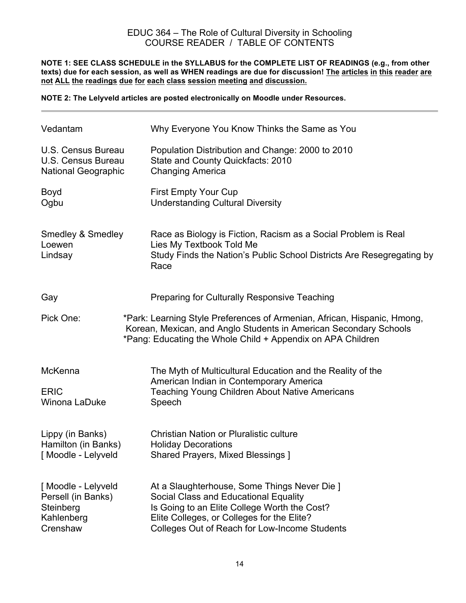## EDUC 364 – The Role of Cultural Diversity in Schooling COURSE READER / TABLE OF CONTENTS

**NOTE 1: SEE CLASS SCHEDULE in the SYLLABUS for the COMPLETE LIST OF READINGS (e.g., from other texts) due for each session, as well as WHEN readings are due for discussion! The articles in this reader are not ALL the readings due for each class session meeting and discussion.**

**NOTE 2: The Lelyveld articles are posted electronically on Moodle under Resources.**

| Vedantam                                                                        | Why Everyone You Know Thinks the Same as You                                                                                                                                                                                         |  |
|---------------------------------------------------------------------------------|--------------------------------------------------------------------------------------------------------------------------------------------------------------------------------------------------------------------------------------|--|
| U.S. Census Bureau<br>U.S. Census Bureau<br><b>National Geographic</b>          | Population Distribution and Change: 2000 to 2010<br>State and County Quickfacts: 2010<br><b>Changing America</b>                                                                                                                     |  |
| <b>Boyd</b><br>Ogbu                                                             | <b>First Empty Your Cup</b><br><b>Understanding Cultural Diversity</b>                                                                                                                                                               |  |
| <b>Smedley &amp; Smedley</b><br>Loewen<br>Lindsay                               | Race as Biology is Fiction, Racism as a Social Problem is Real<br>Lies My Textbook Told Me<br>Study Finds the Nation's Public School Districts Are Resegregating by<br>Race                                                          |  |
| Gay                                                                             | <b>Preparing for Culturally Responsive Teaching</b>                                                                                                                                                                                  |  |
| Pick One:                                                                       | *Park: Learning Style Preferences of Armenian, African, Hispanic, Hmong,<br>Korean, Mexican, and Anglo Students in American Secondary Schools<br>*Pang: Educating the Whole Child + Appendix on APA Children                         |  |
| McKenna                                                                         | The Myth of Multicultural Education and the Reality of the                                                                                                                                                                           |  |
| <b>ERIC</b><br>Winona LaDuke                                                    | American Indian in Contemporary America<br><b>Teaching Young Children About Native Americans</b><br>Speech                                                                                                                           |  |
| Lippy (in Banks)<br>Hamilton (in Banks)<br>[Moodle - Lelyveld                   | Christian Nation or Pluralistic culture<br><b>Holiday Decorations</b><br><b>Shared Prayers, Mixed Blessings ]</b>                                                                                                                    |  |
| [Moodle - Lelyveld<br>Persell (in Banks)<br>Steinberg<br>Kahlenberg<br>Crenshaw | At a Slaughterhouse, Some Things Never Die ]<br>Social Class and Educational Equality<br>Is Going to an Elite College Worth the Cost?<br>Elite Colleges, or Colleges for the Elite?<br>Colleges Out of Reach for Low-Income Students |  |